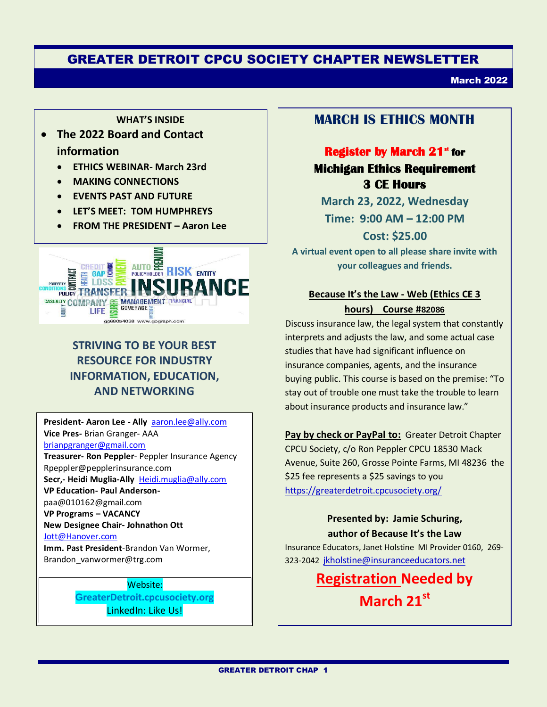# GREATER DETROIT CPCU SOCIETY CHAPTER NEWSLETTER

March 2022

#### **WHAT'S INSIDE**

# **The 2022 Board and Contact information**

- **ETHICS WEBINAR- March 23rd**
- **MAKING CONNECTIONS**
- **EVENTS PAST AND FUTURE**
- **LET'S MEET: TOM HUMPHREYS**
- **FROM THE PRESIDENT – Aaron Lee**



# **STRIVING TO BE YOUR BEST RESOURCE FOR INDUSTRY INFORMATION, EDUCATION, AND NETWORKING**

**President- Aaron Lee - Ally** [aaron.lee@ally.com](mailto:aaron.lee@ally.com)  **Vice Pres-** Brian Granger- AAA brianpgranger@gmail.com **Treasurer- Ron Peppler**- Peppler Insurance Agency Rpeppler@pepplerinsurance.com **Secr,- Heidi Muglia-Ally** [Heidi.muglia@ally.com](mailto:Heidi.muglia@ally.com) **VP Education- Paul Anderson**paa@010162@gmail.com **VP Programs – VACANCY New Designee Chair- Johnathon Ott** [Jott@Hanover.com](mailto:Jott@Hanover.com) **Imm. Past President**-Brandon Van Wormer, Brandon\_vanwormer@trg.com

> Website: **GreaterDetroit.cpcusociety.org** LinkedIn: Like Us!

# **MARCH IS ETHICS MONTH**

# **Register by March 21<sup>st</sup> for Michigan Ethics Requirement 3 CE Hours**

**March 23, 2022, Wednesday Time: 9:00 AM – 12:00 PM**

**Cost: \$25.00 A virtual event open to all please share invite with** 

**your colleagues and friends.**

#### **Because It's the Law - Web (Ethics CE 3 hours) Course #[82086](https://difs.state.mi.us/locators/Search/EducationProviderList)**

Discuss insurance law, the legal system that constantly interprets and adjusts the law, and some actual case studies that have had significant influence on insurance companies, agents, and the insurance buying public. This course is based on the premise: "To stay out of trouble one must take the trouble to learn about insurance products and insurance law."

**Pay by check or PayPal to:** Greater Detroit Chapter CPCU Society, c/o Ron Peppler CPCU 18530 Mack Avenue, Suite 260, Grosse Pointe Farms, MI 48236 the \$25 fee represents a \$25 savings to you <https://greaterdetroit.cpcusociety.org/>

#### **Presented by: Jamie Schuring, author of Because It's the Law**

Insurance Educators, Janet Holstine MI Provider 0160, 269- 323-2042 [jkholstine@insuranceeducators.net](mailto:jkholstine@insuranceeducators.net) 

> **Registration Needed by March 21st**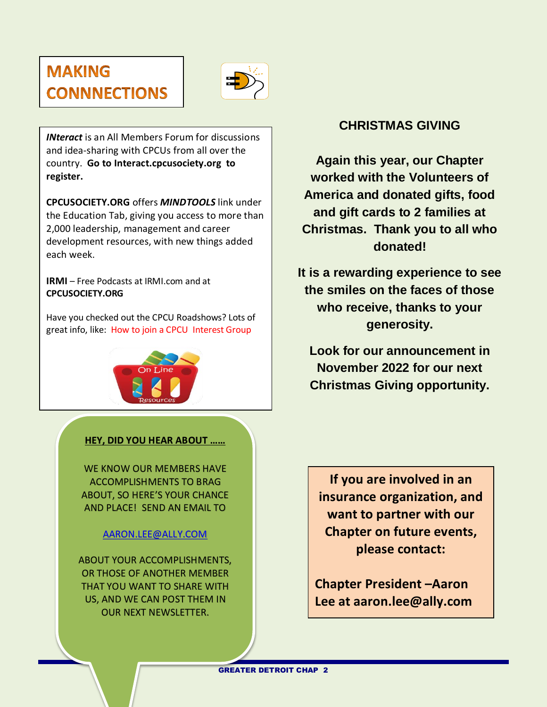# **MAKING CONNNECTIONS**



*INteract* is an All Members Forum for discussions and idea-sharing with CPCUs from all over the country. **Go to Interact.cpcusociety.org to register.** 

**CPCUSOCIETY.ORG** offers *MINDTOOLS* link under the Education Tab, giving you access to more than 2,000 leadership, management and career development resources, with new things added each week.

**IRMI** – Free Podcasts at IRMI.com and at **CPCUSOCIETY.ORG**

Have you checked out the CPCU Roadshows? Lots of great info, like: How to join a CPCU Interest Group



#### **HEY, DID YOU HEAR ABOUT ……**

WE KNOW OUR MEMBERS HAVE ACCOMPLISHMENTS TO BRAG ABOUT, SO HERE'S YOUR CHANCE AND PLACE! SEND AN EMAIL TO

#### [AARON.LEE@ALLY.COM](mailto:AARON.LEE@ALLY.COM)

ABOUT YOUR ACCOMPLISHMENTS, OR THOSE OF ANOTHER MEMBER THAT YOU WANT TO SHARE WITH US, AND WE CAN POST THEM IN OUR NEXT NEWSLETTER.

# **CHRISTMAS GIVING**

**Again this year, our Chapter worked with the Volunteers of America and donated gifts, food and gift cards to 2 families at Christmas. Thank you to all who donated!**

**It is a rewarding experience to see the smiles on the faces of those who receive, thanks to your generosity.** 

**Look for our announcement in November 2022 for our next Christmas Giving opportunity.**

**If you are involved in an insurance organization, and want to partner with our Chapter on future events, please contact:**

**Chapter President –Aaron Lee at aaron.lee@ally.com**

GREATER DETROIT CHAP 2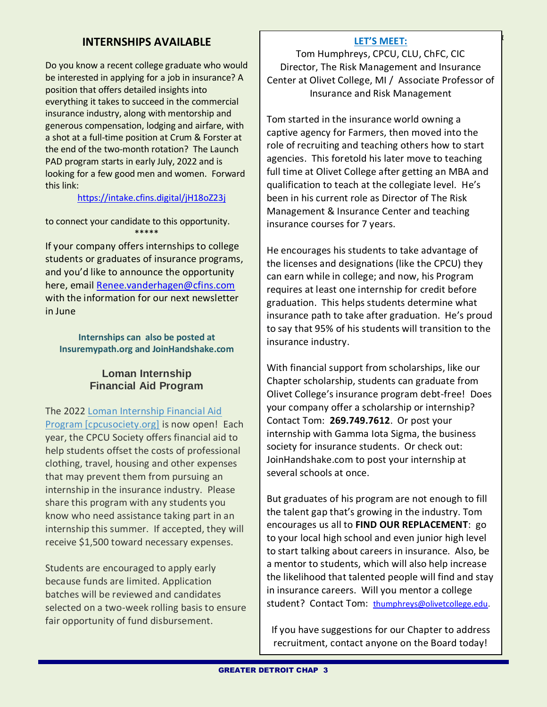### **INTERNSHIPS AVAILABLE**

Do you know a recent college graduate who would be interested in applying for a job in insurance? A position that offers detailed insights into everything it takes to succeed in the commercial insurance industry, along with mentorship and generous compensation, lodging and airfare, with a shot at a full-time position at Crum & Forster at the end of the two-month rotation? The Launch PAD program starts in early July, 2022 and is looking for a few good men and women. Forward this link:

#### <https://intake.cfins.digital/jH18oZ23j>

to connect your candidate to this opportunity. \*\*\*\*\*

If your company offers internships to college students or graduates of insurance programs, and you'd like to announce the opportunity here, email [Renee.vanderhagen@cfins.com](mailto:Renee.vanderhagen@cfins.com) with the information for our next newsletter in June

**Internships can also be posted at Insuremypath.org and JoinHandshake.com**

#### **Loman Internship Financial Aid Program**

The 2022 [Loman Internship Financial Aid](https://urldefense.com/v3/__https:/www.cpcusociety.org/Public/Education/College_Students/Loman_Financial_Aid_Program/Public/Education/Loman_Financial_Aid.aspx?hkey=d25459e0-3ee8-4272-81dd-5c70460644ab__;!!L6iZHCUCOFLB!UqTc9BaJlp55TZMgqc8EYG_5FRb255xgCEFHm18-i4xSNELa4E6Jr11BXrvVk2LrrUR8U037Dg$)  [Program \[cpcusociety.org\]](https://urldefense.com/v3/__https:/www.cpcusociety.org/Public/Education/College_Students/Loman_Financial_Aid_Program/Public/Education/Loman_Financial_Aid.aspx?hkey=d25459e0-3ee8-4272-81dd-5c70460644ab__;!!L6iZHCUCOFLB!UqTc9BaJlp55TZMgqc8EYG_5FRb255xgCEFHm18-i4xSNELa4E6Jr11BXrvVk2LrrUR8U037Dg$) is now open! Each year, the CPCU Society offers financial aid to help students offset the costs of professional clothing, travel, housing and other expenses that may prevent them from pursuing an internship in the insurance industry. Please share this program with any students you know who need assistance taking part in an internship this summer. If accepted, they will receive \$1,500 toward necessary expenses.

Students are encouraged to apply early because funds are limited. Application batches will be reviewed and candidates selected on a two-week rolling basis to ensure fair opportunity of fund disbursement.

#### *continued from page 1* **LET'S MEET:**

Tom Humphreys, CPCU, CLU, ChFC, CIC Director, The Risk Management and Insurance Center at Olivet College, MI / Associate Professor of Insurance and Risk Management

Tom started in the insurance world owning a captive agency for Farmers, then moved into the role of recruiting and teaching others how to start agencies. This foretold his later move to teaching full time at Olivet College after getting an MBA and qualification to teach at the collegiate level. He's been in his current role as Director of The Risk Management & Insurance Center and teaching insurance courses for 7 years.

He encourages his students to take advantage of the licenses and designations (like the CPCU) they can earn while in college; and now, his Program requires at least one internship for credit before graduation. This helps students determine what insurance path to take after graduation. He's proud to say that 95% of his students will transition to the insurance industry.

With financial support from scholarships, like our Chapter scholarship, students can graduate from Olivet College's insurance program debt-free! Does your company offer a scholarship or internship? Contact Tom: **269.749.7612**. Or post your internship with Gamma Iota Sigma, the business society for insurance students. Or check out: JoinHandshake.com to post your internship at several schools at once.

But graduates of his program are not enough to fill the talent gap that's growing in the industry. Tom encourages us all to **FIND OUR REPLACEMENT**: go to your local high school and even junior high level to start talking about careers in insurance. Also, be a mentor to students, which will also help increase the likelihood that talented people will find and stay in insurance careers. Will you mentor a college student? Contact Tom: [thumphreys@olivetcollege.edu.](mailto:thumphreys@olivetcollege.edu)

If you have suggestions for our Chapter to address recruitment, contact anyone on the Board today!